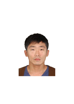